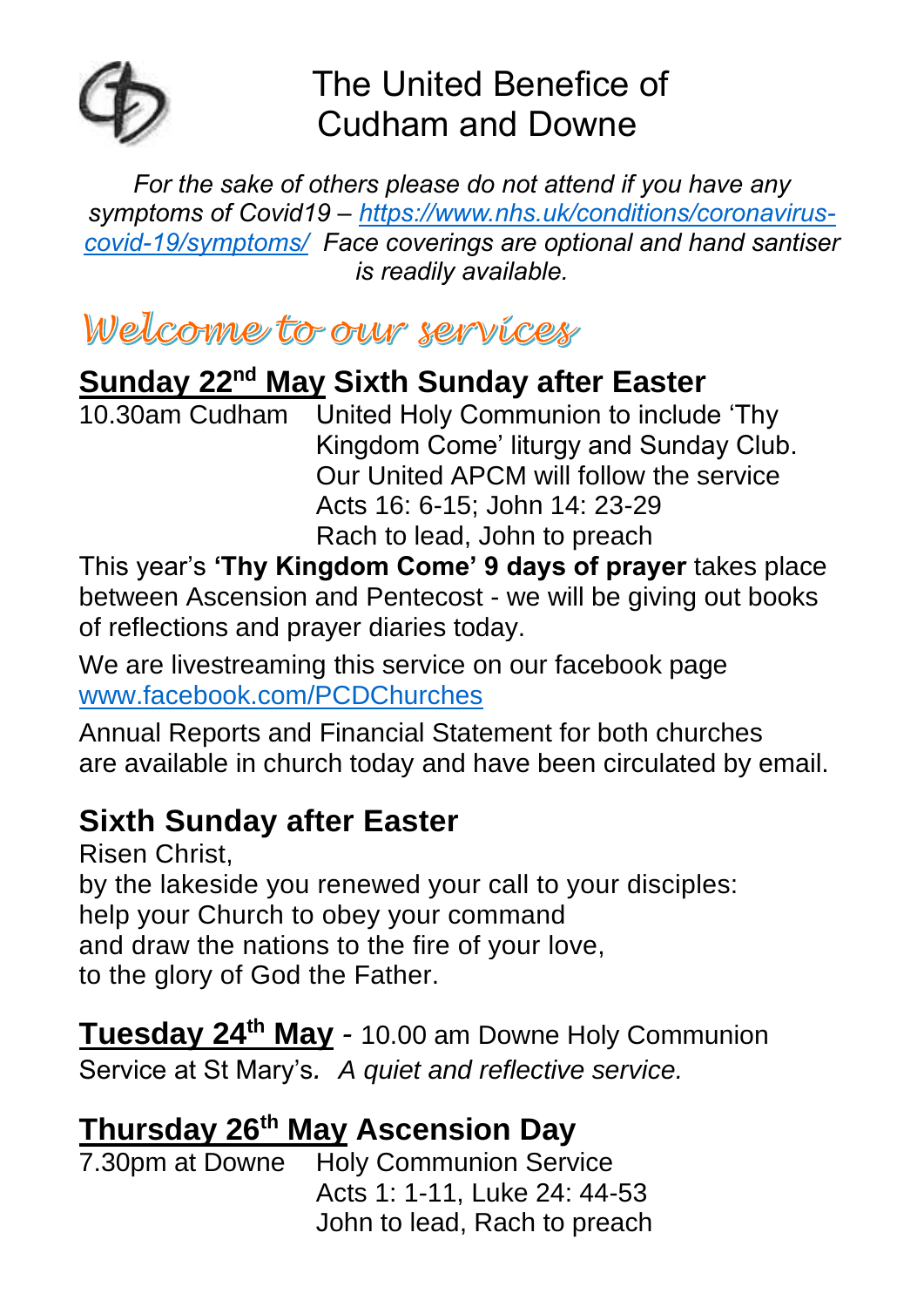

# The United Benefice of Cudham and Downe

*For the sake of others please do not attend if you have any symptoms of Covid19 – [https://www.nhs.uk/conditions/coronavirus](https://www.nhs.uk/conditions/coronavirus-covid-19/symptoms/)[covid-19/symptoms/](https://www.nhs.uk/conditions/coronavirus-covid-19/symptoms/) Face coverings are optional and hand santiser is readily available.*

Welcome to our services

### **Sunday 22nd May Sixth Sunday after Easter**

10.30am Cudham United Holy Communion to include 'Thy Kingdom Come' liturgy and Sunday Club. Our United APCM will follow the service Acts 16: 6-15; John 14: 23-29 Rach to lead, John to preach

This year's **'Thy Kingdom Come' 9 days of prayer** takes place between Ascension and Pentecost - we will be giving out books of reflections and prayer diaries today.

We are livestreaming this service on our facebook page [www.facebook.com/PCDChurches](http://www.facebook.com/PCDChurches) 

Annual Reports and Financial Statement for both churches are available in church today and have been circulated by email.

### **Sixth Sunday after Easter**

Risen Christ, by the lakeside you renewed your call to your disciples: help your Church to obey your command and draw the nations to the fire of your love, to the glory of God the Father.

**Tuesday 24th May** *-* 10.00 am Downe Holy Communion Service at St Mary's*. A quiet and reflective service.*

#### **Thursday 26th May Ascension Day**

|  | 7.30pm at Downe Holy Communion Service |
|--|----------------------------------------|
|  | Acts 1: 1-11, Luke 24: 44-53           |
|  | John to lead, Rach to preach           |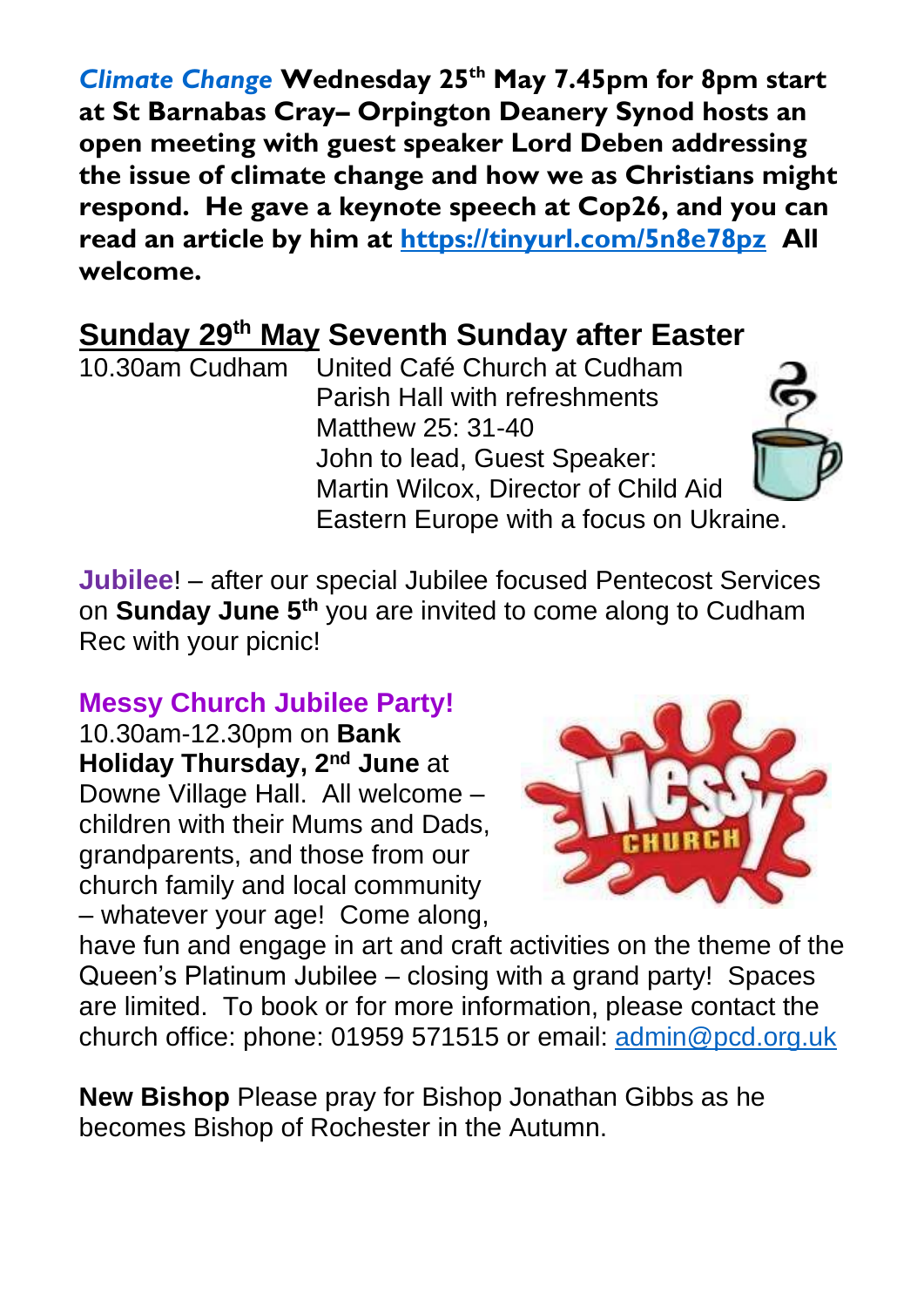*Climate Change* **Wednesday 25 th May 7.45pm for 8pm start at St Barnabas Cray– Orpington Deanery Synod hosts an open meeting with guest speaker Lord Deben addressing the issue of climate change and how we as Christians might respond. He gave a keynote speech at Cop26, and you can read an article by him at<https://tinyurl.com/5n8e78pz>All welcome.**

## **Sunday 29th May Seventh Sunday after Easter**

10.30am Cudham United Café Church at Cudham Parish Hall with refreshments Matthew 25: 31-40 John to lead, Guest Speaker: Martin Wilcox, Director of Child Aid Eastern Europe with a focus on Ukraine.

**Jubilee**! – after our special Jubilee focused Pentecost Services on **Sunday June 5 th** you are invited to come along to Cudham Rec with your picnic!

#### **Messy Church Jubilee Party!**

10.30am-12.30pm on **Bank Holiday Thursday, 2<sup>nd</sup> June** at Downe Village Hall. All welcome – children with their Mums and Dads, grandparents, and those from our church family and local community – whatever your age! Come along,



have fun and engage in art and craft activities on the theme of the Queen's Platinum Jubilee – closing with a grand party! Spaces are limited. To book or for more information, please contact the church office: phone: 01959 571515 or email: [admin@pcd.org.uk](mailto:admin@pcd.org.uk)

**New Bishop** Please pray for Bishop Jonathan Gibbs as he becomes Bishop of Rochester in the Autumn.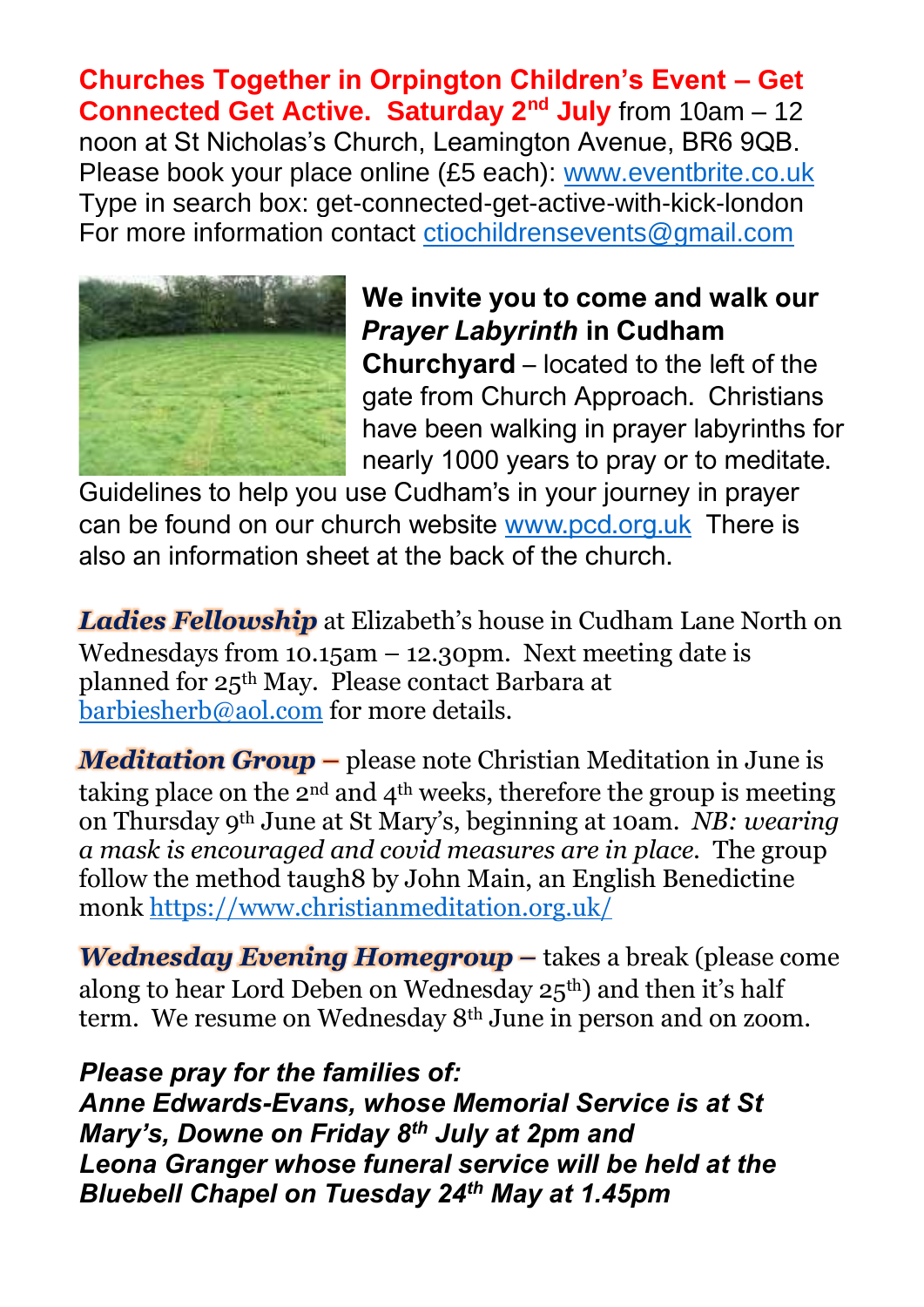**Churches Together in Orpington Children's Event – Get Connected Get Active. Saturday 2nd July** from 10am – 12 noon at St Nicholas's Church, Leamington Avenue, BR6 9QB. Please book your place online (£5 each): [www.eventbrite.co.uk](http://www.eventbrite.co.uk/)  Type in search box: get-connected-get-active-with-kick-london For more information contact [ctiochildrensevents@gmail.com](mailto:ctiochildrensevents@gmail.com) 



**We invite you to come and walk our**  *Prayer Labyrinth* **in Cudham Churchyard** – located to the left of the gate from Church Approach.Christians have been walking in prayer labyrinths for nearly 1000 years to pray or to meditate.

Guidelines to help you use Cudham's in your journey in prayer can be found on our church website [www.pcd.org.uk](http://www.pcd.org.uk/) There is also an information sheet at the back of the church.

*Ladies Fellowship* at Elizabeth's house in Cudham Lane North on Wednesdays from  $10.15$ am  $-12.30$ pm. Next meeting date is planned for 25th May. Please contact Barbara at [barbiesherb@aol.com](mailto:barbiesherb@aol.com) for more details.

*Meditation Group* **–** please note Christian Meditation in June is taking place on the 2<sup>nd</sup> and  $4<sup>th</sup>$  weeks, therefore the group is meeting on Thursday 9th June at St Mary's, beginning at 10am. *NB: wearing a mask is encouraged and covid measures are in place.* The group follow the method taugh8 by John Main, an English Benedictine monk<https://www.christianmeditation.org.uk/>

*Wednesday Evening Homegroup –* takes a break (please come along to hear Lord Deben on Wednesday 25th) and then it's half term. We resume on Wednesday 8th June in person and on zoom.

#### *Please pray for the families of:*

*Anne Edwards-Evans, whose Memorial Service is at St Mary's, Downe on Friday 8th July at 2pm and Leona Granger whose funeral service will be held at the Bluebell Chapel on Tuesday 24th May at 1.45pm*